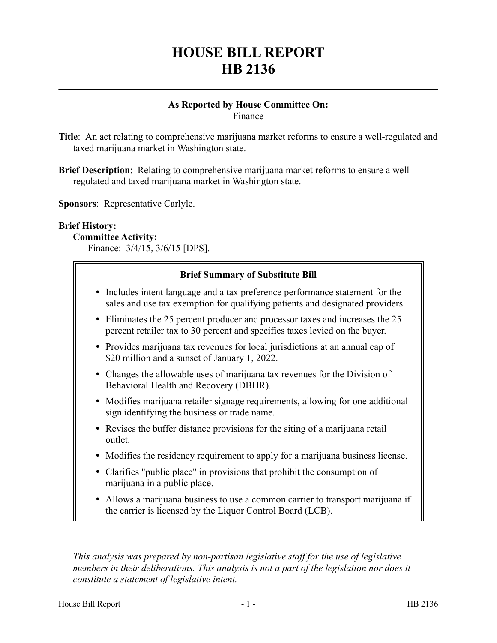# **HOUSE BILL REPORT HB 2136**

#### **As Reported by House Committee On:** Finance

- **Title**: An act relating to comprehensive marijuana market reforms to ensure a well-regulated and taxed marijuana market in Washington state.
- **Brief Description**: Relating to comprehensive marijuana market reforms to ensure a wellregulated and taxed marijuana market in Washington state.

**Sponsors**: Representative Carlyle.

#### **Brief History:**

#### **Committee Activity:**

Finance: 3/4/15, 3/6/15 [DPS].

| <b>Brief Summary of Substitute Bill</b>                                                                                                                                 |  |
|-------------------------------------------------------------------------------------------------------------------------------------------------------------------------|--|
| • Includes intent language and a tax preference performance statement for the<br>sales and use tax exemption for qualifying patients and designated providers.          |  |
| Eliminates the 25 percent producer and processor taxes and increases the 25<br>$\bullet$<br>percent retailer tax to 30 percent and specifies taxes levied on the buyer. |  |
| Provides marijuana tax revenues for local jurisdictions at an annual cap of<br>$\bullet$<br>\$20 million and a sunset of January 1, 2022.                               |  |
| • Changes the allowable uses of marijuana tax revenues for the Division of<br>Behavioral Health and Recovery (DBHR).                                                    |  |
| • Modifies marijuana retailer signage requirements, allowing for one additional<br>sign identifying the business or trade name.                                         |  |
| • Revises the buffer distance provisions for the siting of a marijuana retail<br>outlet.                                                                                |  |
| Modifies the residency requirement to apply for a marijuana business license.<br>$\bullet$                                                                              |  |
| Clarifies "public place" in provisions that prohibit the consumption of<br>$\bullet$<br>marijuana in a public place.                                                    |  |
| • Allows a marijuana business to use a common carrier to transport marijuana if<br>the carrier is licensed by the Liquor Control Board (LCB).                           |  |

––––––––––––––––––––––

*This analysis was prepared by non-partisan legislative staff for the use of legislative members in their deliberations. This analysis is not a part of the legislation nor does it constitute a statement of legislative intent.*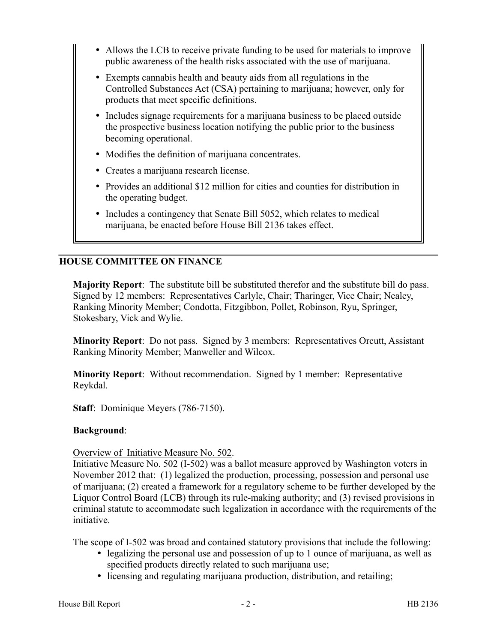- Allows the LCB to receive private funding to be used for materials to improve public awareness of the health risks associated with the use of marijuana.
- Exempts cannabis health and beauty aids from all regulations in the Controlled Substances Act (CSA) pertaining to marijuana; however, only for products that meet specific definitions.
- Includes signage requirements for a marijuana business to be placed outside the prospective business location notifying the public prior to the business becoming operational.
- Modifies the definition of marijuana concentrates.
- Creates a marijuana research license.
- Provides an additional \$12 million for cities and counties for distribution in the operating budget.
- Includes a contingency that Senate Bill 5052, which relates to medical marijuana, be enacted before House Bill 2136 takes effect.

## **HOUSE COMMITTEE ON FINANCE**

**Majority Report**: The substitute bill be substituted therefor and the substitute bill do pass. Signed by 12 members: Representatives Carlyle, Chair; Tharinger, Vice Chair; Nealey, Ranking Minority Member; Condotta, Fitzgibbon, Pollet, Robinson, Ryu, Springer, Stokesbary, Vick and Wylie.

**Minority Report**: Do not pass. Signed by 3 members: Representatives Orcutt, Assistant Ranking Minority Member; Manweller and Wilcox.

**Minority Report**: Without recommendation. Signed by 1 member: Representative Reykdal.

**Staff**: Dominique Meyers (786-7150).

#### **Background**:

#### Overview of Initiative Measure No. 502.

Initiative Measure No. 502 (I-502) was a ballot measure approved by Washington voters in November 2012 that: (1) legalized the production, processing, possession and personal use of marijuana; (2) created a framework for a regulatory scheme to be further developed by the Liquor Control Board (LCB) through its rule-making authority; and (3) revised provisions in criminal statute to accommodate such legalization in accordance with the requirements of the initiative.

The scope of I-502 was broad and contained statutory provisions that include the following:

- legalizing the personal use and possession of up to 1 ounce of marijuana, as well as specified products directly related to such marijuana use;
- licensing and regulating marijuana production, distribution, and retailing;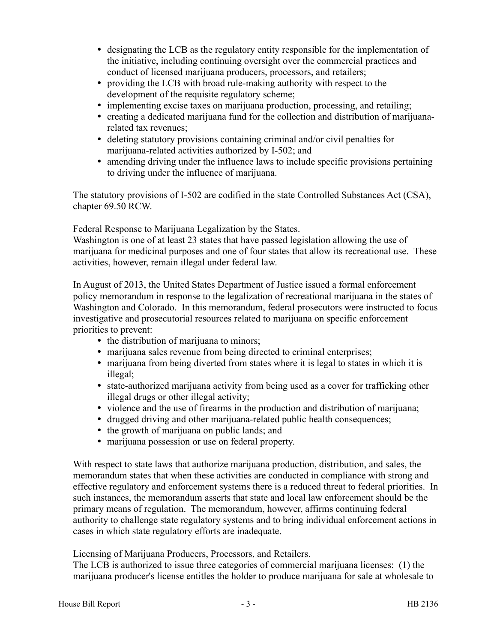- designating the LCB as the regulatory entity responsible for the implementation of the initiative, including continuing oversight over the commercial practices and conduct of licensed marijuana producers, processors, and retailers;
- providing the LCB with broad rule-making authority with respect to the development of the requisite regulatory scheme;
- implementing excise taxes on marijuana production, processing, and retailing;
- creating a dedicated marijuana fund for the collection and distribution of marijuanarelated tax revenues;
- deleting statutory provisions containing criminal and/or civil penalties for marijuana-related activities authorized by I-502; and
- amending driving under the influence laws to include specific provisions pertaining to driving under the influence of marijuana.

The statutory provisions of I-502 are codified in the state Controlled Substances Act (CSA), chapter 69.50 RCW.

## Federal Response to Marijuana Legalization by the States.

Washington is one of at least 23 states that have passed legislation allowing the use of marijuana for medicinal purposes and one of four states that allow its recreational use. These activities, however, remain illegal under federal law.

In August of 2013, the United States Department of Justice issued a formal enforcement policy memorandum in response to the legalization of recreational marijuana in the states of Washington and Colorado. In this memorandum, federal prosecutors were instructed to focus investigative and prosecutorial resources related to marijuana on specific enforcement priorities to prevent:

- the distribution of marijuana to minors;
- marijuana sales revenue from being directed to criminal enterprises;
- marijuana from being diverted from states where it is legal to states in which it is illegal;
- state-authorized marijuana activity from being used as a cover for trafficking other illegal drugs or other illegal activity;
- violence and the use of firearms in the production and distribution of marijuana;
- drugged driving and other marijuana-related public health consequences;
- the growth of marijuana on public lands; and
- marijuana possession or use on federal property.

With respect to state laws that authorize marijuana production, distribution, and sales, the memorandum states that when these activities are conducted in compliance with strong and effective regulatory and enforcement systems there is a reduced threat to federal priorities. In such instances, the memorandum asserts that state and local law enforcement should be the primary means of regulation. The memorandum, however, affirms continuing federal authority to challenge state regulatory systems and to bring individual enforcement actions in cases in which state regulatory efforts are inadequate.

## Licensing of Marijuana Producers, Processors, and Retailers.

The LCB is authorized to issue three categories of commercial marijuana licenses: (1) the marijuana producer's license entitles the holder to produce marijuana for sale at wholesale to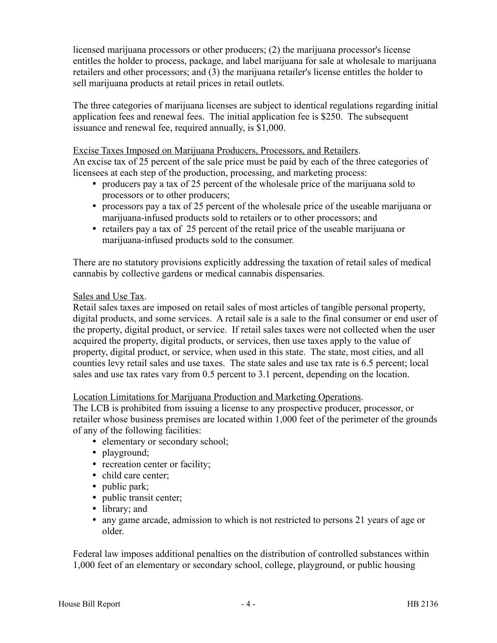licensed marijuana processors or other producers; (2) the marijuana processor's license entitles the holder to process, package, and label marijuana for sale at wholesale to marijuana retailers and other processors; and (3) the marijuana retailer's license entitles the holder to sell marijuana products at retail prices in retail outlets.

The three categories of marijuana licenses are subject to identical regulations regarding initial application fees and renewal fees. The initial application fee is \$250. The subsequent issuance and renewal fee, required annually, is \$1,000.

#### Excise Taxes Imposed on Marijuana Producers, Processors, and Retailers.

An excise tax of 25 percent of the sale price must be paid by each of the three categories of licensees at each step of the production, processing, and marketing process:

- producers pay a tax of 25 percent of the wholesale price of the marijuana sold to processors or to other producers;
- processors pay a tax of 25 percent of the wholesale price of the useable marijuana or marijuana-infused products sold to retailers or to other processors; and
- retailers pay a tax of 25 percent of the retail price of the useable marijuana or marijuana-infused products sold to the consumer.

There are no statutory provisions explicitly addressing the taxation of retail sales of medical cannabis by collective gardens or medical cannabis dispensaries.

#### Sales and Use Tax.

Retail sales taxes are imposed on retail sales of most articles of tangible personal property, digital products, and some services. A retail sale is a sale to the final consumer or end user of the property, digital product, or service. If retail sales taxes were not collected when the user acquired the property, digital products, or services, then use taxes apply to the value of property, digital product, or service, when used in this state. The state, most cities, and all counties levy retail sales and use taxes. The state sales and use tax rate is 6.5 percent; local sales and use tax rates vary from 0.5 percent to 3.1 percent, depending on the location.

#### Location Limitations for Marijuana Production and Marketing Operations.

The LCB is prohibited from issuing a license to any prospective producer, processor, or retailer whose business premises are located within 1,000 feet of the perimeter of the grounds of any of the following facilities:

- elementary or secondary school;
- playground;
- recreation center or facility;
- child care center;
- public park;
- public transit center;
- library; and
- any game arcade, admission to which is not restricted to persons 21 years of age or older.

Federal law imposes additional penalties on the distribution of controlled substances within 1,000 feet of an elementary or secondary school, college, playground, or public housing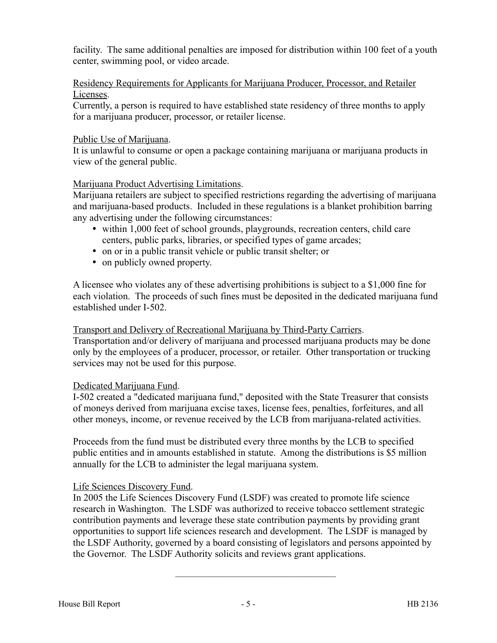facility. The same additional penalties are imposed for distribution within 100 feet of a youth center, swimming pool, or video arcade.

#### Residency Requirements for Applicants for Marijuana Producer, Processor, and Retailer Licenses.

Currently, a person is required to have established state residency of three months to apply for a marijuana producer, processor, or retailer license.

## Public Use of Marijuana.

It is unlawful to consume or open a package containing marijuana or marijuana products in view of the general public.

# Marijuana Product Advertising Limitations.

Marijuana retailers are subject to specified restrictions regarding the advertising of marijuana and marijuana-based products. Included in these regulations is a blanket prohibition barring any advertising under the following circumstances:

- within 1,000 feet of school grounds, playgrounds, recreation centers, child care centers, public parks, libraries, or specified types of game arcades;
- on or in a public transit vehicle or public transit shelter; or
- on publicly owned property.

A licensee who violates any of these advertising prohibitions is subject to a \$1,000 fine for each violation. The proceeds of such fines must be deposited in the dedicated marijuana fund established under I-502.

## Transport and Delivery of Recreational Marijuana by Third-Party Carriers.

Transportation and/or delivery of marijuana and processed marijuana products may be done only by the employees of a producer, processor, or retailer. Other transportation or trucking services may not be used for this purpose.

## Dedicated Marijuana Fund.

I-502 created a "dedicated marijuana fund," deposited with the State Treasurer that consists of moneys derived from marijuana excise taxes, license fees, penalties, forfeitures, and all other moneys, income, or revenue received by the LCB from marijuana-related activities.

Proceeds from the fund must be distributed every three months by the LCB to specified public entities and in amounts established in statute. Among the distributions is \$5 million annually for the LCB to administer the legal marijuana system.

# Life Sciences Discovery Fund.

In 2005 the Life Sciences Discovery Fund (LSDF) was created to promote life science research in Washington. The LSDF was authorized to receive tobacco settlement strategic contribution payments and leverage these state contribution payments by providing grant opportunities to support life sciences research and development. The LSDF is managed by the LSDF Authority, governed by a board consisting of legislators and persons appointed by the Governor. The LSDF Authority solicits and reviews grant applications.

–––––––––––––––––––––––––––––––––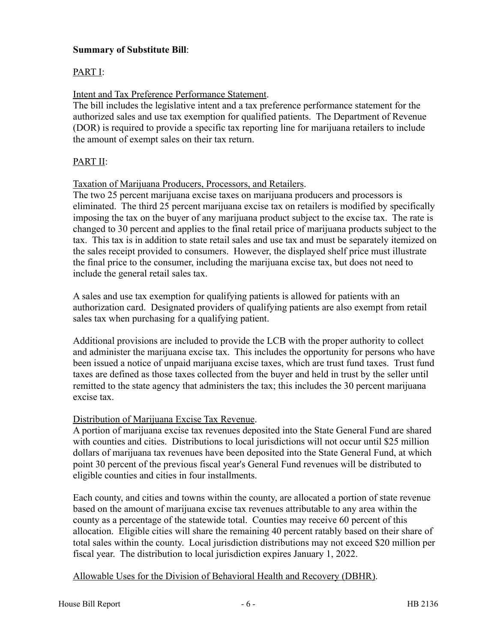# **Summary of Substitute Bill**:

# PART I:

## Intent and Tax Preference Performance Statement.

The bill includes the legislative intent and a tax preference performance statement for the authorized sales and use tax exemption for qualified patients. The Department of Revenue (DOR) is required to provide a specific tax reporting line for marijuana retailers to include the amount of exempt sales on their tax return.

## PART II:

Taxation of Marijuana Producers, Processors, and Retailers.

The two 25 percent marijuana excise taxes on marijuana producers and processors is eliminated. The third 25 percent marijuana excise tax on retailers is modified by specifically imposing the tax on the buyer of any marijuana product subject to the excise tax. The rate is changed to 30 percent and applies to the final retail price of marijuana products subject to the tax. This tax is in addition to state retail sales and use tax and must be separately itemized on the sales receipt provided to consumers. However, the displayed shelf price must illustrate the final price to the consumer, including the marijuana excise tax, but does not need to include the general retail sales tax.

A sales and use tax exemption for qualifying patients is allowed for patients with an authorization card. Designated providers of qualifying patients are also exempt from retail sales tax when purchasing for a qualifying patient.

Additional provisions are included to provide the LCB with the proper authority to collect and administer the marijuana excise tax. This includes the opportunity for persons who have been issued a notice of unpaid marijuana excise taxes, which are trust fund taxes. Trust fund taxes are defined as those taxes collected from the buyer and held in trust by the seller until remitted to the state agency that administers the tax; this includes the 30 percent marijuana excise tax.

## Distribution of Marijuana Excise Tax Revenue.

A portion of marijuana excise tax revenues deposited into the State General Fund are shared with counties and cities. Distributions to local jurisdictions will not occur until \$25 million dollars of marijuana tax revenues have been deposited into the State General Fund, at which point 30 percent of the previous fiscal year's General Fund revenues will be distributed to eligible counties and cities in four installments.

Each county, and cities and towns within the county, are allocated a portion of state revenue based on the amount of marijuana excise tax revenues attributable to any area within the county as a percentage of the statewide total. Counties may receive 60 percent of this allocation. Eligible cities will share the remaining 40 percent ratably based on their share of total sales within the county. Local jurisdiction distributions may not exceed \$20 million per fiscal year. The distribution to local jurisdiction expires January 1, 2022.

# Allowable Uses for the Division of Behavioral Health and Recovery (DBHR).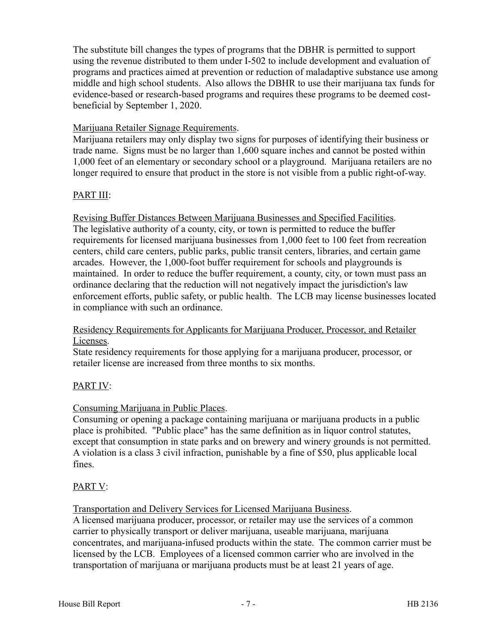The substitute bill changes the types of programs that the DBHR is permitted to support using the revenue distributed to them under I-502 to include development and evaluation of programs and practices aimed at prevention or reduction of maladaptive substance use among middle and high school students. Also allows the DBHR to use their marijuana tax funds for evidence-based or research-based programs and requires these programs to be deemed costbeneficial by September 1, 2020.

## Marijuana Retailer Signage Requirements.

Marijuana retailers may only display two signs for purposes of identifying their business or trade name. Signs must be no larger than 1,600 square inches and cannot be posted within 1,000 feet of an elementary or secondary school or a playground. Marijuana retailers are no longer required to ensure that product in the store is not visible from a public right-of-way.

#### PART III:

Revising Buffer Distances Between Marijuana Businesses and Specified Facilities. The legislative authority of a county, city, or town is permitted to reduce the buffer requirements for licensed marijuana businesses from 1,000 feet to 100 feet from recreation centers, child care centers, public parks, public transit centers, libraries, and certain game arcades. However, the 1,000-foot buffer requirement for schools and playgrounds is maintained. In order to reduce the buffer requirement, a county, city, or town must pass an ordinance declaring that the reduction will not negatively impact the jurisdiction's law enforcement efforts, public safety, or public health. The LCB may license businesses located in compliance with such an ordinance.

#### Residency Requirements for Applicants for Marijuana Producer, Processor, and Retailer Licenses.

State residency requirements for those applying for a marijuana producer, processor, or retailer license are increased from three months to six months.

## PART IV:

## Consuming Marijuana in Public Places.

Consuming or opening a package containing marijuana or marijuana products in a public place is prohibited. "Public place" has the same definition as in liquor control statutes, except that consumption in state parks and on brewery and winery grounds is not permitted. A violation is a class 3 civil infraction, punishable by a fine of \$50, plus applicable local fines.

#### PART V:

Transportation and Delivery Services for Licensed Marijuana Business.

A licensed marijuana producer, processor, or retailer may use the services of a common carrier to physically transport or deliver marijuana, useable marijuana, marijuana concentrates, and marijuana-infused products within the state. The common carrier must be licensed by the LCB. Employees of a licensed common carrier who are involved in the transportation of marijuana or marijuana products must be at least 21 years of age.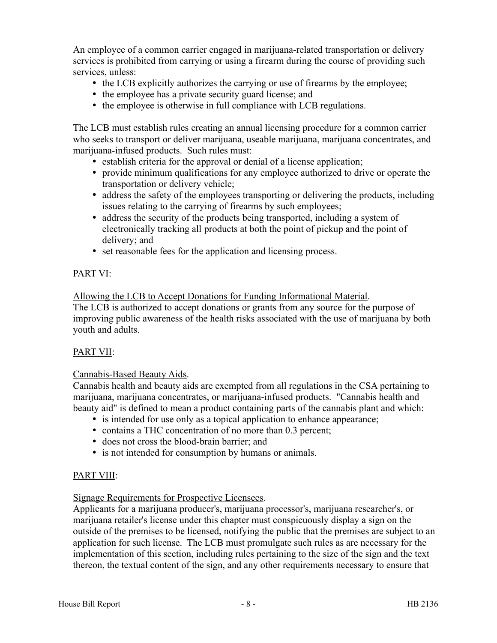An employee of a common carrier engaged in marijuana-related transportation or delivery services is prohibited from carrying or using a firearm during the course of providing such services, unless:

- the LCB explicitly authorizes the carrying or use of firearms by the employee;
- the employee has a private security guard license; and
- the employee is otherwise in full compliance with LCB regulations.

The LCB must establish rules creating an annual licensing procedure for a common carrier who seeks to transport or deliver marijuana, useable marijuana, marijuana concentrates, and marijuana-infused products. Such rules must:

- establish criteria for the approval or denial of a license application;
- provide minimum qualifications for any employee authorized to drive or operate the transportation or delivery vehicle;
- address the safety of the employees transporting or delivering the products, including issues relating to the carrying of firearms by such employees;
- address the security of the products being transported, including a system of electronically tracking all products at both the point of pickup and the point of delivery; and
- set reasonable fees for the application and licensing process.

# PART VI:

Allowing the LCB to Accept Donations for Funding Informational Material.

The LCB is authorized to accept donations or grants from any source for the purpose of improving public awareness of the health risks associated with the use of marijuana by both youth and adults.

## PART VII:

## Cannabis-Based Beauty Aids.

Cannabis health and beauty aids are exempted from all regulations in the CSA pertaining to marijuana, marijuana concentrates, or marijuana-infused products. "Cannabis health and beauty aid" is defined to mean a product containing parts of the cannabis plant and which:

- is intended for use only as a topical application to enhance appearance;
- contains a THC concentration of no more than 0.3 percent;
- does not cross the blood-brain barrier; and
- is not intended for consumption by humans or animals.

# PART VIII:

## Signage Requirements for Prospective Licensees.

Applicants for a marijuana producer's, marijuana processor's, marijuana researcher's, or marijuana retailer's license under this chapter must conspicuously display a sign on the outside of the premises to be licensed, notifying the public that the premises are subject to an application for such license. The LCB must promulgate such rules as are necessary for the implementation of this section, including rules pertaining to the size of the sign and the text thereon, the textual content of the sign, and any other requirements necessary to ensure that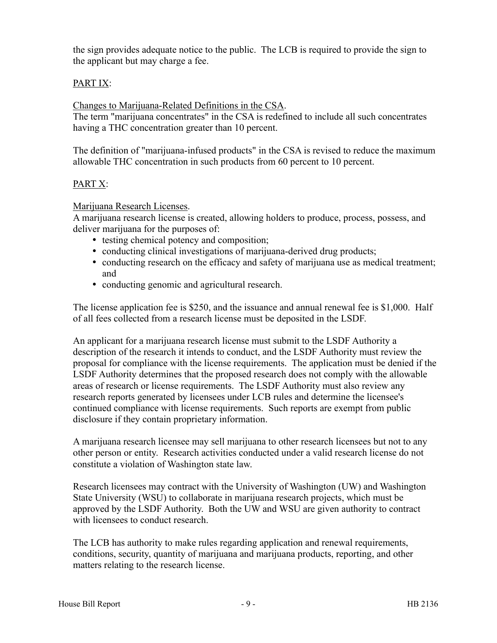the sign provides adequate notice to the public. The LCB is required to provide the sign to the applicant but may charge a fee.

## PART IX:

Changes to Marijuana-Related Definitions in the CSA.

The term "marijuana concentrates" in the CSA is redefined to include all such concentrates having a THC concentration greater than 10 percent.

The definition of "marijuana-infused products" in the CSA is revised to reduce the maximum allowable THC concentration in such products from 60 percent to 10 percent.

# PART X:

Marijuana Research Licenses.

A marijuana research license is created, allowing holders to produce, process, possess, and deliver marijuana for the purposes of:

- testing chemical potency and composition;
- conducting clinical investigations of marijuana-derived drug products;
- conducting research on the efficacy and safety of marijuana use as medical treatment; and
- conducting genomic and agricultural research.

The license application fee is \$250, and the issuance and annual renewal fee is \$1,000. Half of all fees collected from a research license must be deposited in the LSDF.

An applicant for a marijuana research license must submit to the LSDF Authority a description of the research it intends to conduct, and the LSDF Authority must review the proposal for compliance with the license requirements. The application must be denied if the LSDF Authority determines that the proposed research does not comply with the allowable areas of research or license requirements. The LSDF Authority must also review any research reports generated by licensees under LCB rules and determine the licensee's continued compliance with license requirements. Such reports are exempt from public disclosure if they contain proprietary information.

A marijuana research licensee may sell marijuana to other research licensees but not to any other person or entity. Research activities conducted under a valid research license do not constitute a violation of Washington state law.

Research licensees may contract with the University of Washington (UW) and Washington State University (WSU) to collaborate in marijuana research projects, which must be approved by the LSDF Authority. Both the UW and WSU are given authority to contract with licensees to conduct research.

The LCB has authority to make rules regarding application and renewal requirements, conditions, security, quantity of marijuana and marijuana products, reporting, and other matters relating to the research license.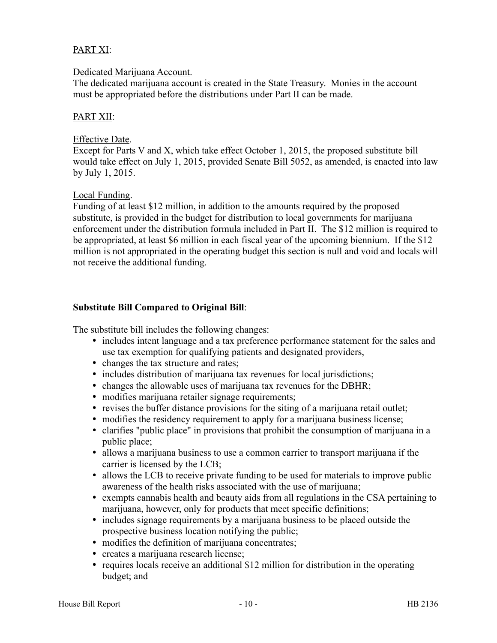## PART XI:

#### Dedicated Marijuana Account.

The dedicated marijuana account is created in the State Treasury. Monies in the account must be appropriated before the distributions under Part II can be made.

#### PART XII:

#### Effective Date.

Except for Parts V and X, which take effect October 1, 2015, the proposed substitute bill would take effect on July 1, 2015, provided Senate Bill 5052, as amended, is enacted into law by July 1, 2015.

#### Local Funding.

Funding of at least \$12 million, in addition to the amounts required by the proposed substitute, is provided in the budget for distribution to local governments for marijuana enforcement under the distribution formula included in Part II. The \$12 million is required to be appropriated, at least \$6 million in each fiscal year of the upcoming biennium. If the \$12 million is not appropriated in the operating budget this section is null and void and locals will not receive the additional funding.

## **Substitute Bill Compared to Original Bill**:

The substitute bill includes the following changes:

- includes intent language and a tax preference performance statement for the sales and use tax exemption for qualifying patients and designated providers,
- changes the tax structure and rates;
- includes distribution of marijuana tax revenues for local jurisdictions;
- changes the allowable uses of marijuana tax revenues for the DBHR;
- modifies marijuana retailer signage requirements;
- revises the buffer distance provisions for the siting of a marijuana retail outlet;
- modifies the residency requirement to apply for a marijuana business license;
- clarifies "public place" in provisions that prohibit the consumption of marijuana in a public place;
- allows a marijuana business to use a common carrier to transport marijuana if the carrier is licensed by the LCB;
- allows the LCB to receive private funding to be used for materials to improve public awareness of the health risks associated with the use of marijuana;
- exempts cannabis health and beauty aids from all regulations in the CSA pertaining to marijuana, however, only for products that meet specific definitions;
- includes signage requirements by a marijuana business to be placed outside the prospective business location notifying the public;
- modifies the definition of marijuana concentrates;
- creates a marijuana research license;
- requires locals receive an additional \$12 million for distribution in the operating budget; and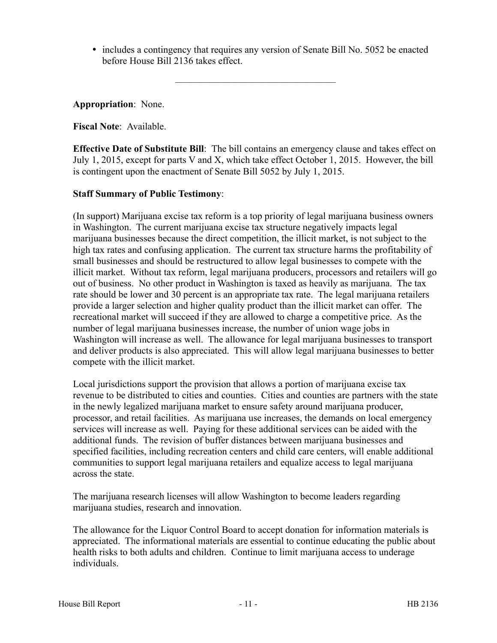includes a contingency that requires any version of Senate Bill No. 5052 be enacted before House Bill 2136 takes effect.

–––––––––––––––––––––––––––––––––

**Appropriation**: None.

**Fiscal Note**: Available.

**Effective Date of Substitute Bill**: The bill contains an emergency clause and takes effect on July 1, 2015, except for parts V and X, which take effect October 1, 2015. However, the bill is contingent upon the enactment of Senate Bill 5052 by July 1, 2015.

#### **Staff Summary of Public Testimony**:

(In support) Marijuana excise tax reform is a top priority of legal marijuana business owners in Washington. The current marijuana excise tax structure negatively impacts legal marijuana businesses because the direct competition, the illicit market, is not subject to the high tax rates and confusing application. The current tax structure harms the profitability of small businesses and should be restructured to allow legal businesses to compete with the illicit market. Without tax reform, legal marijuana producers, processors and retailers will go out of business. No other product in Washington is taxed as heavily as marijuana. The tax rate should be lower and 30 percent is an appropriate tax rate. The legal marijuana retailers provide a larger selection and higher quality product than the illicit market can offer. The recreational market will succeed if they are allowed to charge a competitive price. As the number of legal marijuana businesses increase, the number of union wage jobs in Washington will increase as well. The allowance for legal marijuana businesses to transport and deliver products is also appreciated. This will allow legal marijuana businesses to better compete with the illicit market.

Local jurisdictions support the provision that allows a portion of marijuana excise tax revenue to be distributed to cities and counties. Cities and counties are partners with the state in the newly legalized marijuana market to ensure safety around marijuana producer, processor, and retail facilities. As marijuana use increases, the demands on local emergency services will increase as well. Paying for these additional services can be aided with the additional funds. The revision of buffer distances between marijuana businesses and specified facilities, including recreation centers and child care centers, will enable additional communities to support legal marijuana retailers and equalize access to legal marijuana across the state.

The marijuana research licenses will allow Washington to become leaders regarding marijuana studies, research and innovation.

The allowance for the Liquor Control Board to accept donation for information materials is appreciated. The informational materials are essential to continue educating the public about health risks to both adults and children. Continue to limit marijuana access to underage individuals.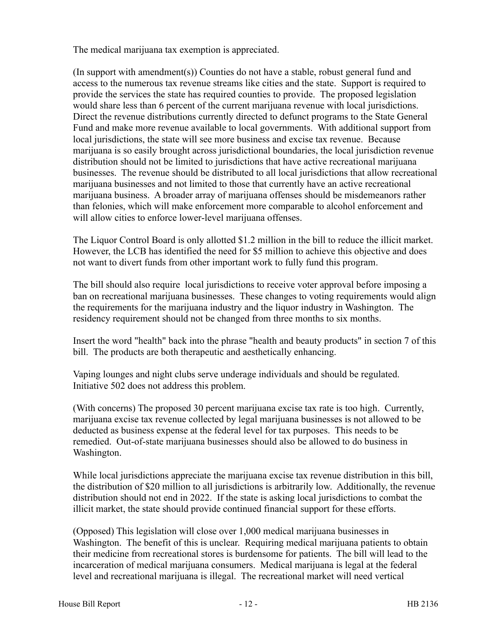The medical marijuana tax exemption is appreciated.

(In support with amendment(s)) Counties do not have a stable, robust general fund and access to the numerous tax revenue streams like cities and the state. Support is required to provide the services the state has required counties to provide. The proposed legislation would share less than 6 percent of the current marijuana revenue with local jurisdictions. Direct the revenue distributions currently directed to defunct programs to the State General Fund and make more revenue available to local governments. With additional support from local jurisdictions, the state will see more business and excise tax revenue. Because marijuana is so easily brought across jurisdictional boundaries, the local jurisdiction revenue distribution should not be limited to jurisdictions that have active recreational marijuana businesses. The revenue should be distributed to all local jurisdictions that allow recreational marijuana businesses and not limited to those that currently have an active recreational marijuana business. A broader array of marijuana offenses should be misdemeanors rather than felonies, which will make enforcement more comparable to alcohol enforcement and will allow cities to enforce lower-level marijuana offenses.

The Liquor Control Board is only allotted \$1.2 million in the bill to reduce the illicit market. However, the LCB has identified the need for \$5 million to achieve this objective and does not want to divert funds from other important work to fully fund this program.

The bill should also require local jurisdictions to receive voter approval before imposing a ban on recreational marijuana businesses. These changes to voting requirements would align the requirements for the marijuana industry and the liquor industry in Washington. The residency requirement should not be changed from three months to six months.

Insert the word "health" back into the phrase "health and beauty products" in section 7 of this bill. The products are both therapeutic and aesthetically enhancing.

Vaping lounges and night clubs serve underage individuals and should be regulated. Initiative 502 does not address this problem.

(With concerns) The proposed 30 percent marijuana excise tax rate is too high. Currently, marijuana excise tax revenue collected by legal marijuana businesses is not allowed to be deducted as business expense at the federal level for tax purposes. This needs to be remedied. Out-of-state marijuana businesses should also be allowed to do business in Washington.

While local jurisdictions appreciate the marijuana excise tax revenue distribution in this bill, the distribution of \$20 million to all jurisdictions is arbitrarily low. Additionally, the revenue distribution should not end in 2022. If the state is asking local jurisdictions to combat the illicit market, the state should provide continued financial support for these efforts.

(Opposed) This legislation will close over 1,000 medical marijuana businesses in Washington. The benefit of this is unclear. Requiring medical marijuana patients to obtain their medicine from recreational stores is burdensome for patients. The bill will lead to the incarceration of medical marijuana consumers. Medical marijuana is legal at the federal level and recreational marijuana is illegal. The recreational market will need vertical